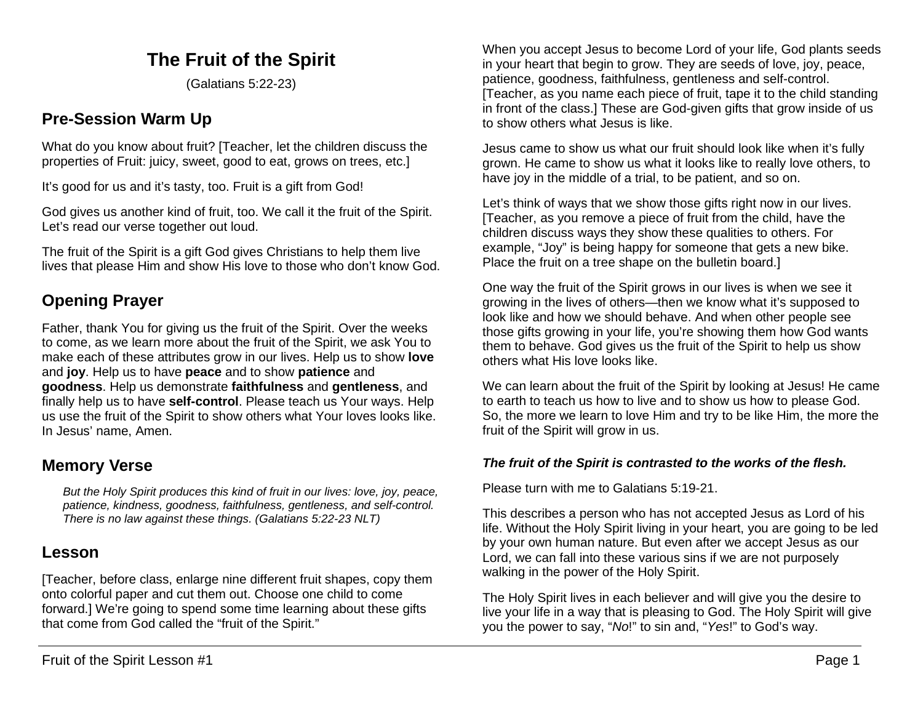#### **The Fruit of the Spirit**

(Galatians 5:22-23)

#### **Pre-Session Warm Up**

What do you know about fruit? [Teacher, let the children discuss the properties of Fruit: juicy, sweet, good to eat, grows on trees, etc.]

It's good for us and it's tasty, too. Fruit is a gift from God!

God gives us another kind of fruit, too. We call it the fruit of the Spirit. Let's read our verse together out loud.

The fruit of the Spirit is a gift God gives Christians to help them live lives that please Him and show His love to those who don't know God.

#### **Opening Prayer**

Father, thank You for giving us the fruit of the Spirit. Over the weeks to come, as we learn more about the fruit of the Spirit, we ask You to make each of these attributes grow in our lives. Help us to show **love** and **joy**. Help us to have **peace** and to show **patience** and **goodness**. Help us demonstrate **faithfulness** and **gentleness**, and finally help us to have **self-control**. Please teach us Your ways. Help us use the fruit of the Spirit to show others what Your loves looks like. In Jesus' name, Amen.

#### **Memory Verse**

*But the Holy Spirit produces this kind of fruit in our lives: love, joy, peace, patience, kindness, goodness, faithfulness, gentleness, and self-control. There is no law against these things. (Galatians 5:22-23 NLT)*

#### **Lesson**

[Teacher, before class, enlarge nine different fruit shapes, copy them onto colorful paper and cut them out. Choose one child to come forward.] We're going to spend some time learning about these gifts that come from God called the "fruit of the Spirit."

When you accept Jesus to become Lord of your life, God plants seeds in your heart that begin to grow. They are seeds of love, joy, peace, patience, goodness, faithfulness, gentleness and self-control. [Teacher, as you name each piece of fruit, tape it to the child standing in front of the class.] These are God-given gifts that grow inside of us to show others what Jesus is like.

Jesus came to show us what our fruit should look like when it's fully grown. He came to show us what it looks like to really love others, to have joy in the middle of a trial, to be patient, and so on.

Let's think of ways that we show those gifts right now in our lives. [Teacher, as you remove a piece of fruit from the child, have the children discuss ways they show these qualities to others. For example, "Joy" is being happy for someone that gets a new bike. Place the fruit on a tree shape on the bulletin board.]

One way the fruit of the Spirit grows in our lives is when we see it growing in the lives of others—then we know what it's supposed to look like and how we should behave. And when other people see those gifts growing in your life, you're showing them how God wants them to behave. God gives us the fruit of the Spirit to help us show others what His love looks like.

We can learn about the fruit of the Spirit by looking at Jesus! He came to earth to teach us how to live and to show us how to please God. So, the more we learn to love Him and try to be like Him, the more the fruit of the Spirit will grow in us.

#### *The fruit of the Spirit is contrasted to the works of the flesh.*

Please turn with me to Galatians 5:19-21.

This describes a person who has not accepted Jesus as Lord of his life. Without the Holy Spirit living in your heart, you are going to be led by your own human nature. But even after we accept Jesus as our Lord, we can fall into these various sins if we are not purposely walking in the power of the Holy Spirit.

The Holy Spirit lives in each believer and will give you the desire to live your life in a way that is pleasing to God. The Holy Spirit will give you the power to say, "*No*!" to sin and, "*Yes*!" to God's way.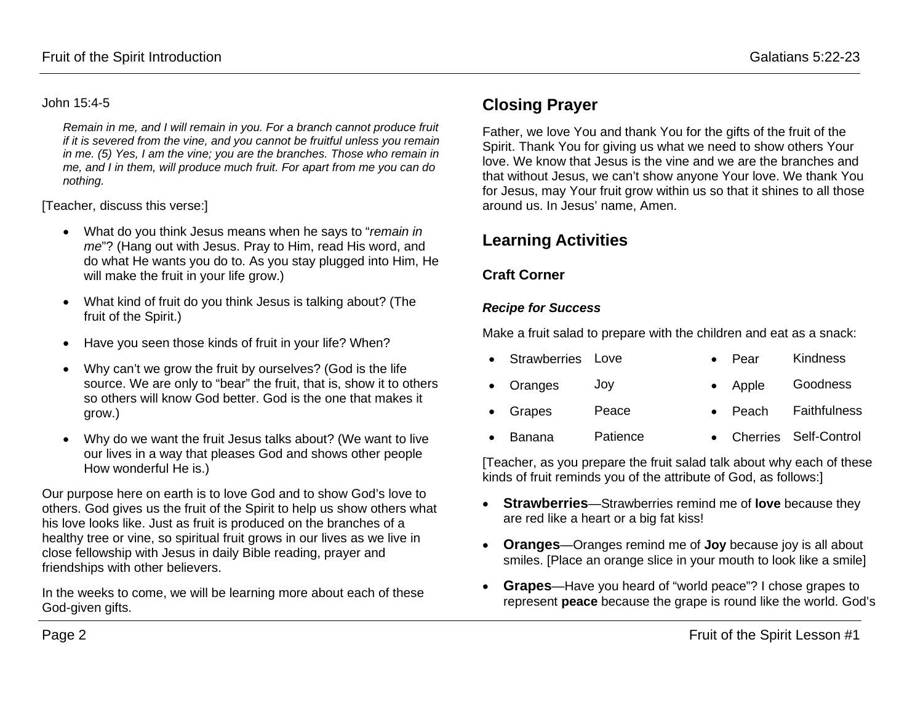#### John 15:4-5

*Remain in me, and I will remain in you. For a branch cannot produce fruit if it is severed from the vine, and you cannot be fruitful unless you remain in me. (5) Yes, I am the vine; you are the branches. Those who remain in me, and I in them, will produce much fruit. For apart from me you can do nothing.*

[Teacher, discuss this verse:]

- What do you think Jesus means when he says to "*remain in me*"? (Hang out with Jesus. Pray to Him, read His word, and do what He wants you do to. As you stay plugged into Him, He will make the fruit in your life grow.)
- What kind of fruit do you think Jesus is talking about? (The fruit of the Spirit.)
- Have you seen those kinds of fruit in your life? When?
- Why can't we grow the fruit by ourselves? (God is the life source. We are only to "bear" the fruit, that is, show it to others so others will know God better. God is the one that makes it grow.)
- Why do we want the fruit Jesus talks about? (We want to live our lives in a way that pleases God and shows other people How wonderful He is.)

Our purpose here on earth is to love God and to show God's love to others. God gives us the fruit of the Spirit to help us show others what his love looks like. Just as fruit is produced on the branches of a healthy tree or vine, so spiritual fruit grows in our lives as we live in close fellowship with Jesus in daily Bible reading, prayer and friendships with other believers.

In the weeks to come, we will be learning more about each of these God-given gifts.

#### **Closing Prayer**

Father, we love You and thank You for the gifts of the fruit of the Spirit. Thank You for giving us what we need to show others Your love. We know that Jesus is the vine and we are the branches and that without Jesus, we can't show anyone Your love. We thank You for Jesus, may Your fruit grow within us so that it shines to all those around us. In Jesus' name, Amen.

#### **Learning Activities**

#### **Craft Corner**

#### *Recipe for Success*

Make a fruit salad to prepare with the children and eat as a snack:

| • Strawberries Love |       | $\bullet$ Pear  | Kindness             |
|---------------------|-------|-----------------|----------------------|
| • Oranges           | JOV   | $\bullet$ Apple | Goodness             |
| • Grapes            | Peace |                 | • Peach Faithfulness |

• Banana Patience • Cherries Self-Control

[Teacher, as you prepare the fruit salad talk about why each of these kinds of fruit reminds you of the attribute of God, as follows:]

- **Strawberries**—Strawberries remind me of **love** because they are red like a heart or a big fat kiss!
- **Oranges**—Oranges remind me of **Joy** because joy is all about smiles. [Place an orange slice in your mouth to look like a smile]
- **Grapes**—Have you heard of "world peace"? I chose grapes to represent **peace** because the grape is round like the world. God's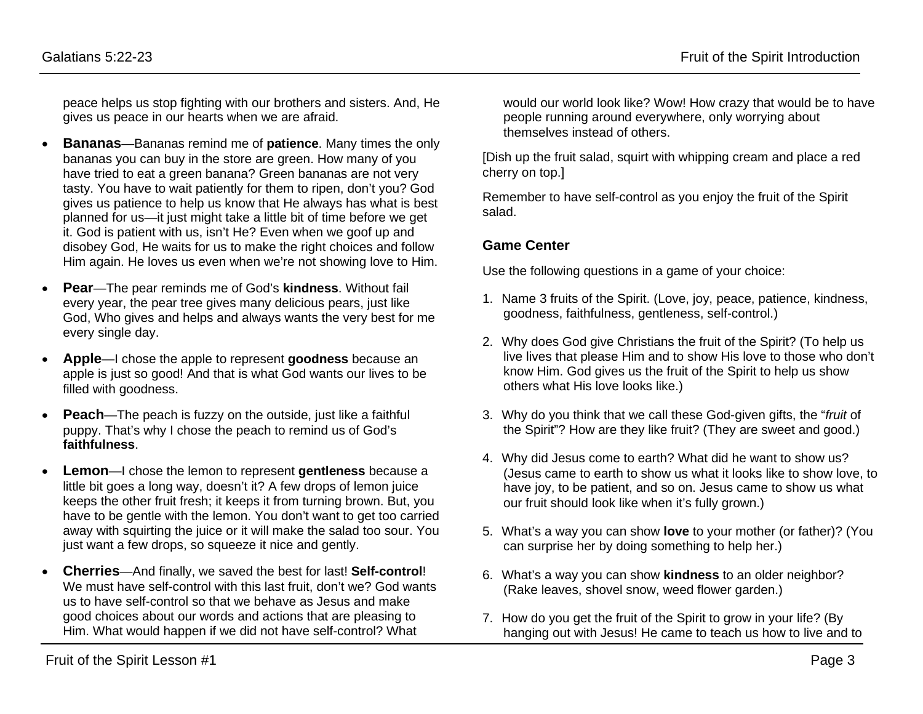peace helps us stop fighting with our brothers and sisters. And, He gives us peace in our hearts when we are afraid.

- **Bananas**—Bananas remind me of **patience**. Many times the only bananas you can buy in the store are green. How many of you have tried to eat a green banana? Green bananas are not very tasty. You have to wait patiently for them to ripen, don't you? God gives us patience to help us know that He always has what is best planned for us—it just might take a little bit of time before we get it. God is patient with us, isn't He? Even when we goof up and disobey God, He waits for us to make the right choices and follow Him again. He loves us even when we're not showing love to Him.
- **Pear**—The pear reminds me of God's **kindness**. Without fail every year, the pear tree gives many delicious pears, just like God, Who gives and helps and always wants the very best for me every single day.
- **Apple**—I chose the apple to represent **goodness** because an apple is just so good! And that is what God wants our lives to be filled with goodness.
- **Peach**—The peach is fuzzy on the outside, just like a faithful puppy. That's why I chose the peach to remind us of God's **faithfulness**.
- **Lemon**—I chose the lemon to represent **gentleness** because a little bit goes a long way, doesn't it? A few drops of lemon juice keeps the other fruit fresh; it keeps it from turning brown. But, you have to be gentle with the lemon. You don't want to get too carried away with squirting the juice or it will make the salad too sour. You just want a few drops, so squeeze it nice and gently.
- **Cherries**—And finally, we saved the best for last! **Self-control**! We must have self-control with this last fruit, don't we? God wants us to have self-control so that we behave as Jesus and make good choices about our words and actions that are pleasing to Him. What would happen if we did not have self-control? What

would our world look like? Wow! How crazy that would be to have people running around everywhere, only worrying about themselves instead of others.

[Dish up the fruit salad, squirt with whipping cream and place a red cherry on top.]

Remember to have self-control as you enjoy the fruit of the Spirit salad.

#### **Game Center**

Use the following questions in a game of your choice:

- 1. Name 3 fruits of the Spirit. (Love, joy, peace, patience, kindness, goodness, faithfulness, gentleness, self-control.)
- 2. Why does God give Christians the fruit of the Spirit? (To help us live lives that please Him and to show His love to those who don't know Him. God gives us the fruit of the Spirit to help us show others what His love looks like.)
- 3. Why do you think that we call these God-given gifts, the "*fruit* of the Spirit"? How are they like fruit? (They are sweet and good.)
- 4. Why did Jesus come to earth? What did he want to show us? (Jesus came to earth to show us what it looks like to show love, to have joy, to be patient, and so on. Jesus came to show us what our fruit should look like when it's fully grown.)
- 5. What's a way you can show **love** to your mother (or father)? (You can surprise her by doing something to help her.)
- 6. What's a way you can show **kindness** to an older neighbor? (Rake leaves, shovel snow, weed flower garden.)
- 7. How do you get the fruit of the Spirit to grow in your life? (By hanging out with Jesus! He came to teach us how to live and to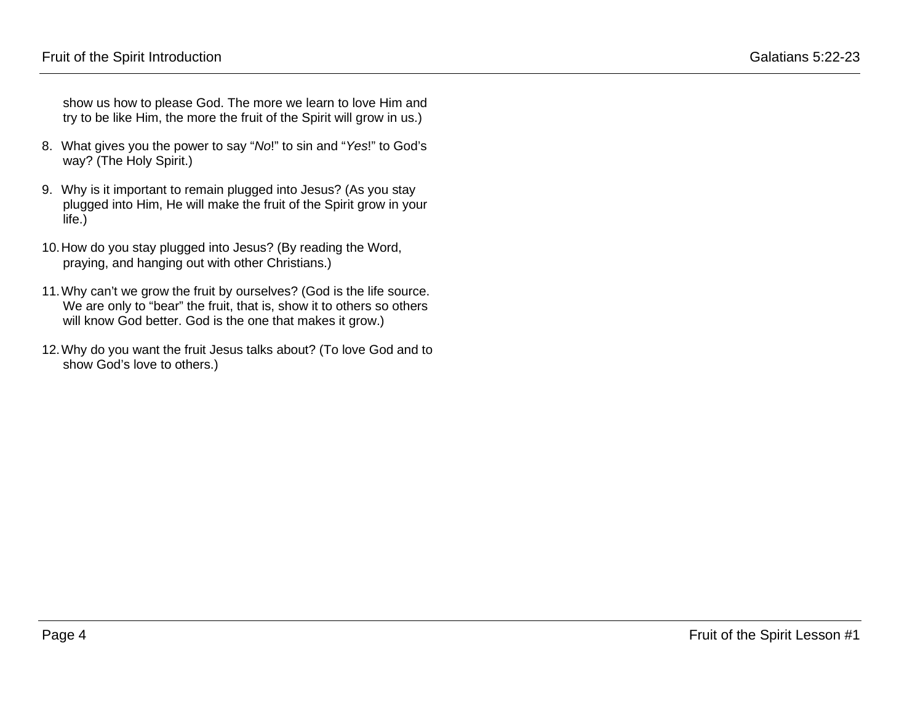show us how to please God. The more we learn to love Him and try to be like Him, the more the fruit of the Spirit will grow in us.)

- 8. What gives you the power to say "*No*!" to sin and "*Yes*!" to God's way? (The Holy Spirit.)
- 9. Why is it important to remain plugged into Jesus? (As you stay plugged into Him, He will make the fruit of the Spirit grow in your life.)
- 10.How do you stay plugged into Jesus? (By reading the Word, praying, and hanging out with other Christians.)
- 11.Why can't we grow the fruit by ourselves? (God is the life source. We are only to "bear" the fruit, that is, show it to others so others will know God better. God is the one that makes it grow.)
- 12.Why do you want the fruit Jesus talks about? (To love God and to show God's love to others.)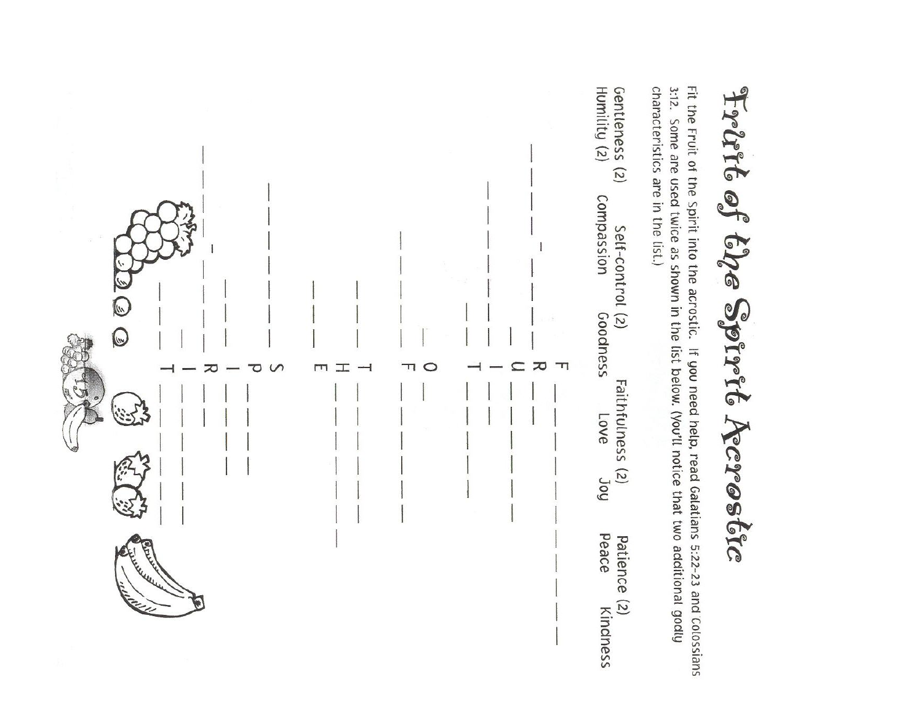

characteristics are in the list.) 3:12. Some are used twice as shown in the list below. (You'll notice that two additional godly Fit the Fruit of the Spirit into the acrostic. If you need help, read Galatians 5:22-23 and Colossians